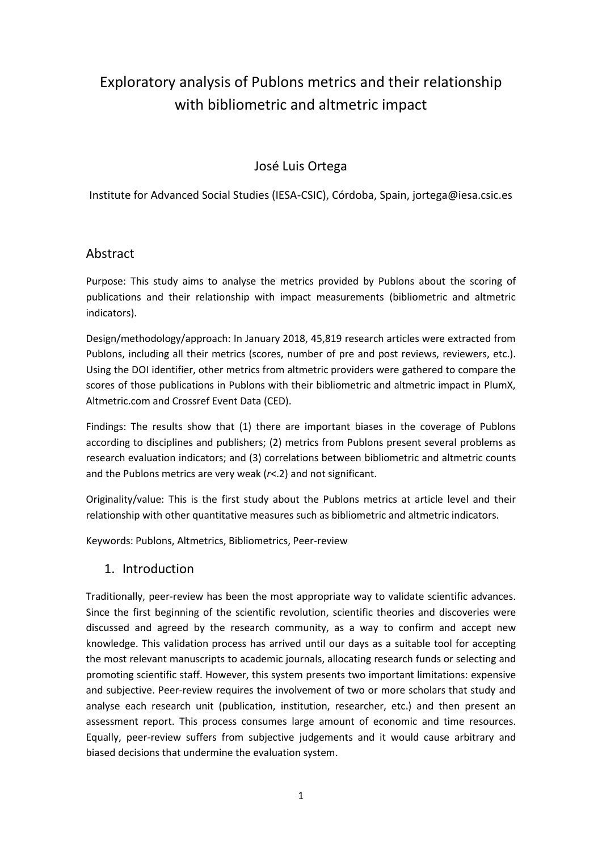# Exploratory analysis of Publons metrics and their relationship with bibliometric and altmetric impact

# José Luis Ortega

Institute for Advanced Social Studies (IESA-CSIC), Córdoba, Spain, jortega@iesa.csic.es

### Abstract

Purpose: This study aims to analyse the metrics provided by Publons about the scoring of publications and their relationship with impact measurements (bibliometric and altmetric indicators).

Design/methodology/approach: In January 2018, 45,819 research articles were extracted from Publons, including all their metrics (scores, number of pre and post reviews, reviewers, etc.). Using the DOI identifier, other metrics from altmetric providers were gathered to compare the scores of those publications in Publons with their bibliometric and altmetric impact in PlumX, Altmetric.com and Crossref Event Data (CED).

Findings: The results show that (1) there are important biases in the coverage of Publons according to disciplines and publishers; (2) metrics from Publons present several problems as research evaluation indicators; and (3) correlations between bibliometric and altmetric counts and the Publons metrics are very weak (*r*<.2) and not significant.

Originality/value: This is the first study about the Publons metrics at article level and their relationship with other quantitative measures such as bibliometric and altmetric indicators.

Keywords: Publons, Altmetrics, Bibliometrics, Peer-review

1. Introduction

Traditionally, peer-review has been the most appropriate way to validate scientific advances. Since the first beginning of the scientific revolution, scientific theories and discoveries were discussed and agreed by the research community, as a way to confirm and accept new knowledge. This validation process has arrived until our days as a suitable tool for accepting the most relevant manuscripts to academic journals, allocating research funds or selecting and promoting scientific staff. However, this system presents two important limitations: expensive and subjective. Peer-review requires the involvement of two or more scholars that study and analyse each research unit (publication, institution, researcher, etc.) and then present an assessment report. This process consumes large amount of economic and time resources. Equally, peer-review suffers from subjective judgements and it would cause arbitrary and biased decisions that undermine the evaluation system.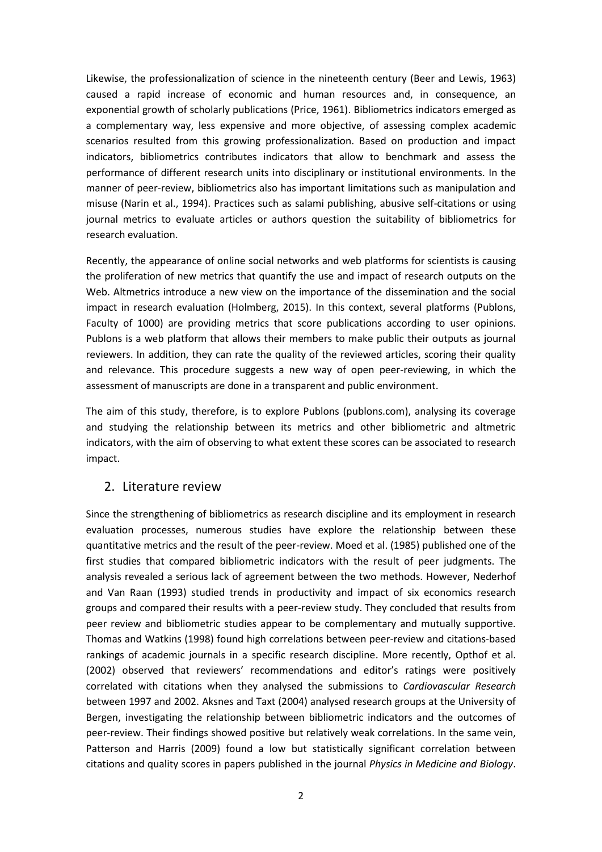Likewise, the professionalization of science in the nineteenth century (Beer and Lewis, 1963) caused a rapid increase of economic and human resources and, in consequence, an exponential growth of scholarly publications (Price, 1961). Bibliometrics indicators emerged as a complementary way, less expensive and more objective, of assessing complex academic scenarios resulted from this growing professionalization. Based on production and impact indicators, bibliometrics contributes indicators that allow to benchmark and assess the performance of different research units into disciplinary or institutional environments. In the manner of peer-review, bibliometrics also has important limitations such as manipulation and misuse (Narin et al., 1994). Practices such as salami publishing, abusive self-citations or using journal metrics to evaluate articles or authors question the suitability of bibliometrics for research evaluation.

Recently, the appearance of online social networks and web platforms for scientists is causing the proliferation of new metrics that quantify the use and impact of research outputs on the Web. Altmetrics introduce a new view on the importance of the dissemination and the social impact in research evaluation (Holmberg, 2015). In this context, several platforms (Publons, Faculty of 1000) are providing metrics that score publications according to user opinions. Publons is a web platform that allows their members to make public their outputs as journal reviewers. In addition, they can rate the quality of the reviewed articles, scoring their quality and relevance. This procedure suggests a new way of open peer-reviewing, in which the assessment of manuscripts are done in a transparent and public environment.

The aim of this study, therefore, is to explore Publons (publons.com), analysing its coverage and studying the relationship between its metrics and other bibliometric and altmetric indicators, with the aim of observing to what extent these scores can be associated to research impact.

#### 2. Literature review

Since the strengthening of bibliometrics as research discipline and its employment in research evaluation processes, numerous studies have explore the relationship between these quantitative metrics and the result of the peer-review. Moed et al. (1985) published one of the first studies that compared bibliometric indicators with the result of peer judgments. The analysis revealed a serious lack of agreement between the two methods. However, Nederhof and Van Raan (1993) studied trends in productivity and impact of six economics research groups and compared their results with a peer-review study. They concluded that results from peer review and bibliometric studies appear to be complementary and mutually supportive. Thomas and Watkins (1998) found high correlations between peer-review and citations-based rankings of academic journals in a specific research discipline. More recently, Opthof et al. (2002) observed that reviewers' recommendations and editor's ratings were positively correlated with citations when they analysed the submissions to *Cardiovascular Research* between 1997 and 2002. Aksnes and Taxt (2004) analysed research groups at the University of Bergen, investigating the relationship between bibliometric indicators and the outcomes of peer-review. Their findings showed positive but relatively weak correlations. In the same vein, Patterson and Harris (2009) found a low but statistically significant correlation between citations and quality scores in papers published in the journal *Physics in Medicine and Biology*.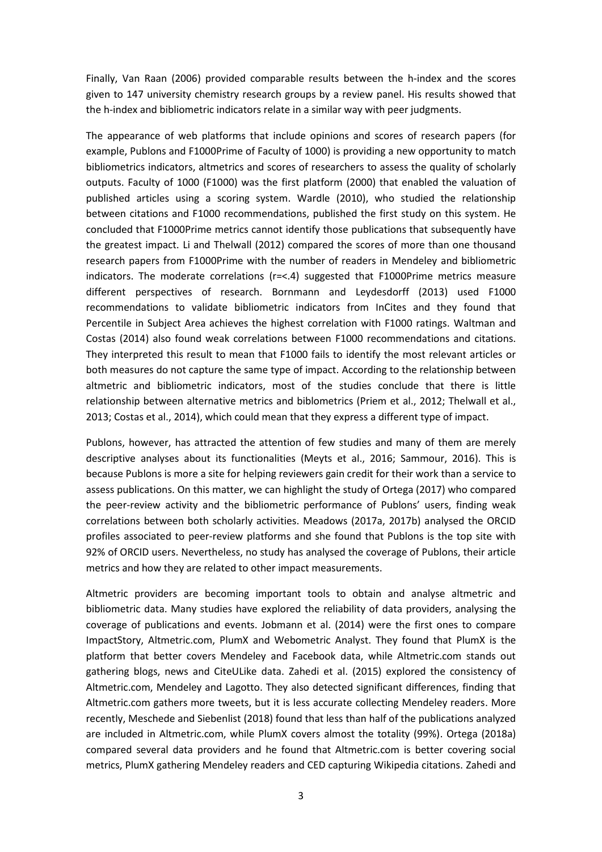Finally, Van Raan (2006) provided comparable results between the h-index and the scores given to 147 university chemistry research groups by a review panel. His results showed that the h-index and bibliometric indicators relate in a similar way with peer judgments.

The appearance of web platforms that include opinions and scores of research papers (for example, Publons and F1000Prime of Faculty of 1000) is providing a new opportunity to match bibliometrics indicators, altmetrics and scores of researchers to assess the quality of scholarly outputs. Faculty of 1000 (F1000) was the first platform (2000) that enabled the valuation of published articles using a scoring system. Wardle (2010), who studied the relationship between citations and F1000 recommendations, published the first study on this system. He concluded that F1000Prime metrics cannot identify those publications that subsequently have the greatest impact. Li and Thelwall (2012) compared the scores of more than one thousand research papers from F1000Prime with the number of readers in Mendeley and bibliometric indicators. The moderate correlations (r=<.4) suggested that F1000Prime metrics measure different perspectives of research. Bornmann and Leydesdorff (2013) used F1000 recommendations to validate bibliometric indicators from InCites and they found that Percentile in Subject Area achieves the highest correlation with F1000 ratings. Waltman and Costas (2014) also found weak correlations between F1000 recommendations and citations. They interpreted this result to mean that F1000 fails to identify the most relevant articles or both measures do not capture the same type of impact. According to the relationship between altmetric and bibliometric indicators, most of the studies conclude that there is little relationship between alternative metrics and biblometrics (Priem et al., 2012; Thelwall et al., 2013; Costas et al., 2014), which could mean that they express a different type of impact.

Publons, however, has attracted the attention of few studies and many of them are merely descriptive analyses about its functionalities (Meyts et al., 2016; Sammour, 2016). This is because Publons is more a site for helping reviewers gain credit for their work than a service to assess publications. On this matter, we can highlight the study of Ortega (2017) who compared the peer-review activity and the bibliometric performance of Publons' users, finding weak correlations between both scholarly activities. Meadows (2017a, 2017b) analysed the ORCID profiles associated to peer-review platforms and she found that Publons is the top site with 92% of ORCID users. Nevertheless, no study has analysed the coverage of Publons, their article metrics and how they are related to other impact measurements.

Altmetric providers are becoming important tools to obtain and analyse altmetric and bibliometric data. Many studies have explored the reliability of data providers, analysing the coverage of publications and events. Jobmann et al. (2014) were the first ones to compare ImpactStory, Altmetric.com, PlumX and Webometric Analyst. They found that PlumX is the platform that better covers Mendeley and Facebook data, while Altmetric.com stands out gathering blogs, news and CiteULike data. Zahedi et al. (2015) explored the consistency of Altmetric.com, Mendeley and Lagotto. They also detected significant differences, finding that Altmetric.com gathers more tweets, but it is less accurate collecting Mendeley readers. More recently, Meschede and Siebenlist (2018) found that less than half of the publications analyzed are included in Altmetric.com, while PlumX covers almost the totality (99%). Ortega (2018a) compared several data providers and he found that Altmetric.com is better covering social metrics, PlumX gathering Mendeley readers and CED capturing Wikipedia citations. Zahedi and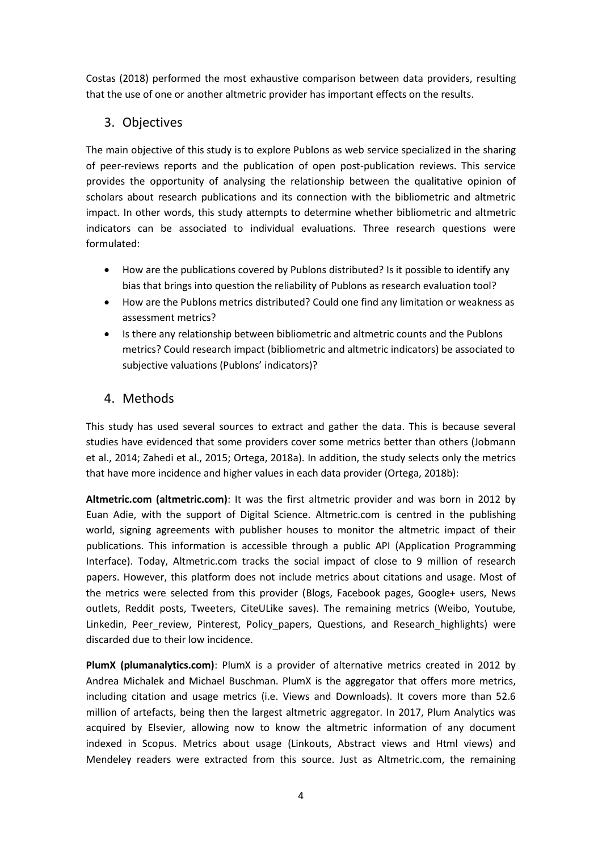Costas (2018) performed the most exhaustive comparison between data providers, resulting that the use of one or another altmetric provider has important effects on the results.

# 3. Objectives

The main objective of this study is to explore Publons as web service specialized in the sharing of peer-reviews reports and the publication of open post-publication reviews. This service provides the opportunity of analysing the relationship between the qualitative opinion of scholars about research publications and its connection with the bibliometric and altmetric impact. In other words, this study attempts to determine whether bibliometric and altmetric indicators can be associated to individual evaluations. Three research questions were formulated:

- How are the publications covered by Publons distributed? Is it possible to identify any bias that brings into question the reliability of Publons as research evaluation tool?
- How are the Publons metrics distributed? Could one find any limitation or weakness as assessment metrics?
- Is there any relationship between bibliometric and altmetric counts and the Publons metrics? Could research impact (bibliometric and altmetric indicators) be associated to subjective valuations (Publons' indicators)?

# 4. Methods

This study has used several sources to extract and gather the data. This is because several studies have evidenced that some providers cover some metrics better than others (Jobmann et al., 2014; Zahedi et al., 2015; Ortega, 2018a). In addition, the study selects only the metrics that have more incidence and higher values in each data provider (Ortega, 2018b):

**Altmetric.com (altmetric.com)**: It was the first altmetric provider and was born in 2012 by Euan Adie, with the support of Digital Science. Altmetric.com is centred in the publishing world, signing agreements with publisher houses to monitor the altmetric impact of their publications. This information is accessible through a public API (Application Programming Interface). Today, Altmetric.com tracks the social impact of close to 9 million of research papers. However, this platform does not include metrics about citations and usage. Most of the metrics were selected from this provider (Blogs, Facebook pages, Google+ users, News outlets, Reddit posts, Tweeters, CiteULike saves). The remaining metrics (Weibo, Youtube, Linkedin, Peer\_review, Pinterest, Policy\_papers, Questions, and Research\_highlights) were discarded due to their low incidence.

**PlumX (plumanalytics.com)**: PlumX is a provider of alternative metrics created in 2012 by Andrea Michalek and Michael Buschman. PlumX is the aggregator that offers more metrics, including citation and usage metrics (i.e. Views and Downloads). It covers more than 52.6 million of artefacts, being then the largest altmetric aggregator. In 2017, Plum Analytics was acquired by Elsevier, allowing now to know the altmetric information of any document indexed in Scopus. Metrics about usage (Linkouts, Abstract views and Html views) and Mendeley readers were extracted from this source. Just as Altmetric.com, the remaining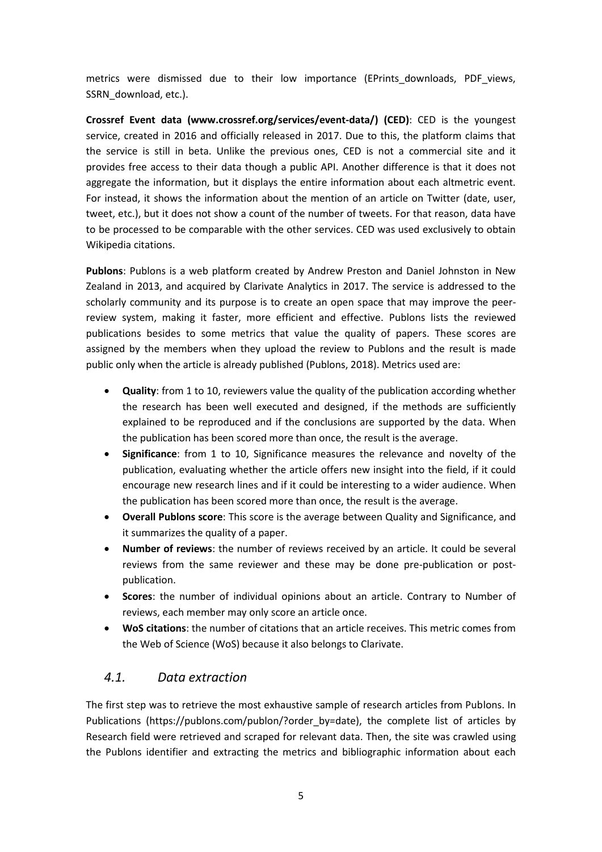metrics were dismissed due to their low importance (EPrints downloads, PDF views, SSRN\_download, etc.).

**Crossref Event data (www.crossref.org/services/event-data/) (CED)**: CED is the youngest service, created in 2016 and officially released in 2017. Due to this, the platform claims that the service is still in beta. Unlike the previous ones, CED is not a commercial site and it provides free access to their data though a public API. Another difference is that it does not aggregate the information, but it displays the entire information about each altmetric event. For instead, it shows the information about the mention of an article on Twitter (date, user, tweet, etc.), but it does not show a count of the number of tweets. For that reason, data have to be processed to be comparable with the other services. CED was used exclusively to obtain Wikipedia citations.

**Publons**: Publons is a web platform created by Andrew Preston and Daniel Johnston in New Zealand in 2013, and acquired by Clarivate Analytics in 2017. The service is addressed to the scholarly community and its purpose is to create an open space that may improve the peerreview system, making it faster, more efficient and effective. Publons lists the reviewed publications besides to some metrics that value the quality of papers. These scores are assigned by the members when they upload the review to Publons and the result is made public only when the article is already published (Publons, 2018). Metrics used are:

- **Quality**: from 1 to 10, reviewers value the quality of the publication according whether the research has been well executed and designed, if the methods are sufficiently explained to be reproduced and if the conclusions are supported by the data. When the publication has been scored more than once, the result is the average.
- **Significance**: from 1 to 10, Significance measures the relevance and novelty of the publication, evaluating whether the article offers new insight into the field, if it could encourage new research lines and if it could be interesting to a wider audience. When the publication has been scored more than once, the result is the average.
- **Overall Publons score**: This score is the average between Quality and Significance, and it summarizes the quality of a paper.
- **Number of reviews**: the number of reviews received by an article. It could be several reviews from the same reviewer and these may be done pre-publication or postpublication.
- **Scores**: the number of individual opinions about an article. Contrary to Number of reviews, each member may only score an article once.
- **WoS citations**: the number of citations that an article receives. This metric comes from the Web of Science (WoS) because it also belongs to Clarivate.

# *4.1. Data extraction*

The first step was to retrieve the most exhaustive sample of research articles from Publons. In Publications [\(https://publons.com/publon/?order\\_by=date\)](https://publons.com/publon/?order_by=date), the complete list of articles by Research field were retrieved and scraped for relevant data. Then, the site was crawled using the Publons identifier and extracting the metrics and bibliographic information about each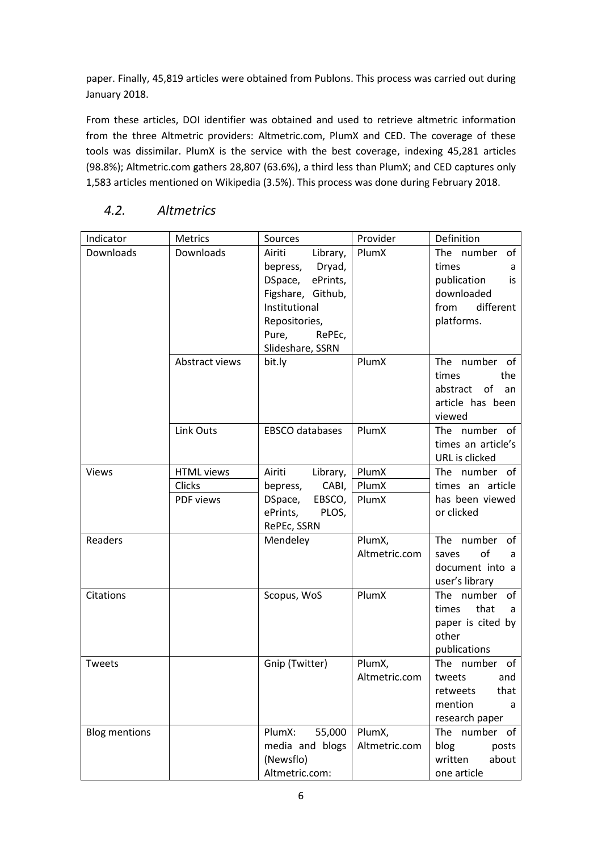paper. Finally, 45,819 articles were obtained from Publons. This process was carried out during January 2018.

From these articles, DOI identifier was obtained and used to retrieve altmetric information from the three Altmetric providers: Altmetric.com, PlumX and CED. The coverage of these tools was dissimilar. PlumX is the service with the best coverage, indexing 45,281 articles (98.8%); Altmetric.com gathers 28,807 (63.6%), a third less than PlumX; and CED captures only 1,583 articles mentioned on Wikipedia (3.5%). This process was done during February 2018.

| Indicator            | Metrics                                  | Sources                                                                                                                                                       | Definition              |                                                                                                   |  |
|----------------------|------------------------------------------|---------------------------------------------------------------------------------------------------------------------------------------------------------------|-------------------------|---------------------------------------------------------------------------------------------------|--|
| Downloads            | Downloads                                | Library,<br>Airiti<br>Dryad,<br>bepress,<br>ePrints,<br>DSpace,<br>Figshare, Github,<br>Institutional<br>Repositories,<br>Pure,<br>RePEc,<br>Slideshare, SSRN | PlumX                   | The number of<br>times<br>a<br>publication<br>is<br>downloaded<br>different<br>from<br>platforms. |  |
|                      | Abstract views                           | bit.ly                                                                                                                                                        | PlumX                   | The number of<br>times<br>the<br>abstract<br>of<br>an<br>article has been<br>viewed               |  |
|                      | Link Outs                                | EBSCO databases                                                                                                                                               | PlumX                   | The number of<br>times an article's<br>URL is clicked                                             |  |
| <b>Views</b>         | <b>HTML</b> views<br>Clicks<br>PDF views | Airiti<br>Library,<br>CABI,<br>bepress,<br>EBSCO,<br>DSpace,<br>PLOS,<br>ePrints,<br>RePEc, SSRN                                                              | PlumX<br>PlumX<br>PlumX | The number of<br>times an article<br>has been viewed<br>or clicked                                |  |
| Readers              |                                          | Mendeley                                                                                                                                                      | PlumX,<br>Altmetric.com | The number of<br>of<br>saves<br>a<br>document into a<br>user's library                            |  |
| Citations            |                                          | Scopus, WoS                                                                                                                                                   | PlumX                   | The number of<br>that<br>times<br>a<br>paper is cited by<br>other<br>publications                 |  |
| Tweets               |                                          | Gnip (Twitter)                                                                                                                                                | PlumX,<br>Altmetric.com | The number of<br>tweets<br>and<br>that<br>retweets<br>mention<br>a<br>research paper              |  |
| <b>Blog mentions</b> |                                          | 55,000<br>PlumX:<br>media and blogs<br>(Newsflo)<br>Altmetric.com:                                                                                            | PlumX,<br>Altmetric.com | The<br>number of<br>blog<br>posts<br>written<br>about<br>one article                              |  |

# *4.2. Altmetrics*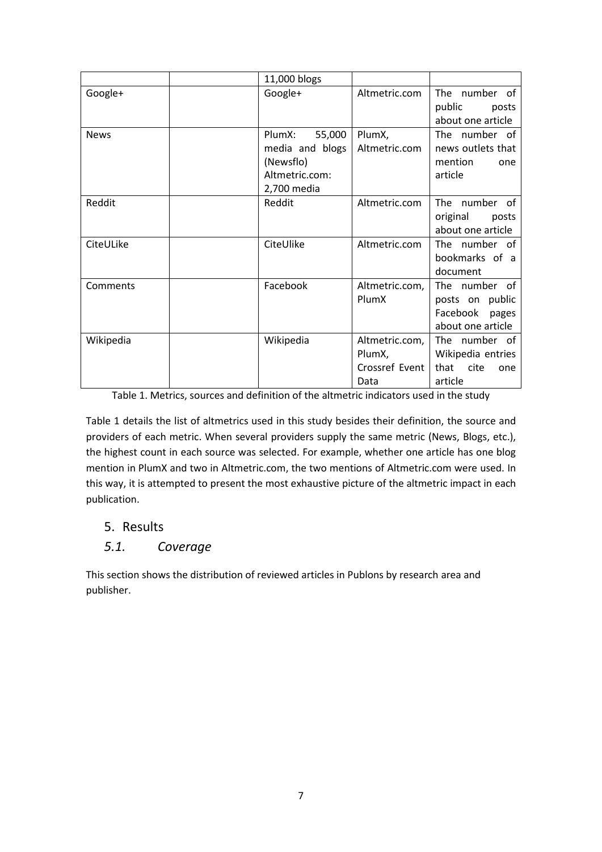|             | 11,000 blogs                                                                      |                                                    |                                                                            |  |
|-------------|-----------------------------------------------------------------------------------|----------------------------------------------------|----------------------------------------------------------------------------|--|
| Google+     | Google+                                                                           | Altmetric.com                                      | The number of<br>public<br>posts<br>about one article                      |  |
| <b>News</b> | 55,000<br>PlumX:<br>media and blogs<br>(Newsflo)<br>Altmetric.com:<br>2,700 media | PlumX,<br>Altmetric.com                            | The number of<br>news outlets that<br>mention<br>one<br>article            |  |
| Reddit      | Reddit                                                                            | Altmetric.com                                      | The number of<br>original<br>posts<br>about one article                    |  |
| CiteULike   | CiteUlike                                                                         | Altmetric.com                                      | The number of<br>bookmarks of a<br>document                                |  |
| Comments    | Facebook                                                                          | Altmetric.com,<br>PlumX                            | The number of<br>posts on public<br>Facebook<br>pages<br>about one article |  |
| Wikipedia   | Wikipedia                                                                         | Altmetric.com,<br>PlumX,<br>Crossref Event<br>Data | The number of<br>Wikipedia entries<br>that<br>cite<br>one<br>article       |  |

Table 1. Metrics, sources and definition of the altmetric indicators used in the study

Table 1 details the list of altmetrics used in this study besides their definition, the source and providers of each metric. When several providers supply the same metric (News, Blogs, etc.), the highest count in each source was selected. For example, whether one article has one blog mention in PlumX and two in Altmetric.com, the two mentions of Altmetric.com were used. In this way, it is attempted to present the most exhaustive picture of the altmetric impact in each publication.

## 5. Results

## *5.1. Coverage*

This section shows the distribution of reviewed articles in Publons by research area and publisher.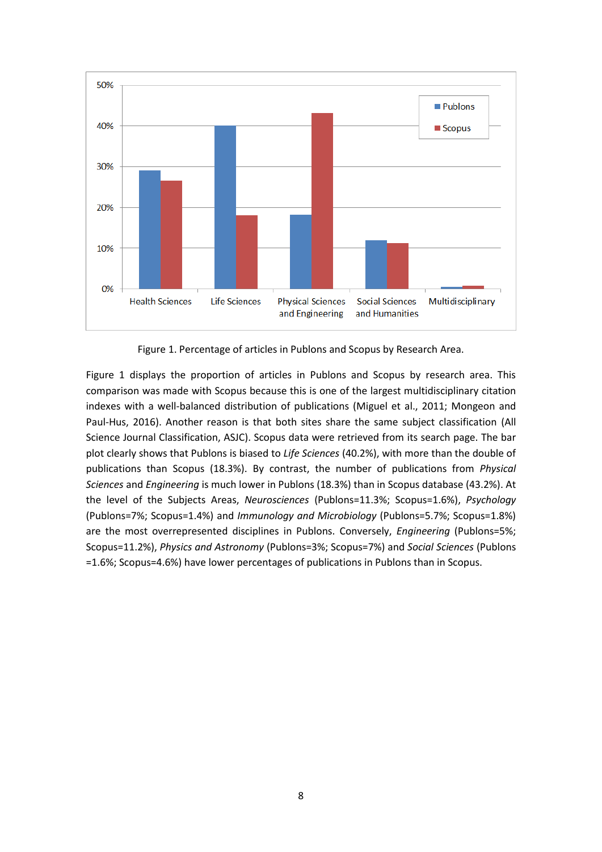

Figure 1. Percentage of articles in Publons and Scopus by Research Area.

Figure 1 displays the proportion of articles in Publons and Scopus by research area. This comparison was made with Scopus because this is one of the largest multidisciplinary citation indexes with a well-balanced distribution of publications (Miguel et al., 2011; Mongeon and Paul-Hus, 2016). Another reason is that both sites share the same subject classification (All Science Journal Classification, ASJC). Scopus data were retrieved from its search page. The bar plot clearly shows that Publons is biased to *Life Sciences* (40.2%), with more than the double of publications than Scopus (18.3%). By contrast, the number of publications from *Physical Sciences* and *Engineering* is much lower in Publons (18.3%) than in Scopus database (43.2%). At the level of the Subjects Areas, *Neurosciences* (Publons=11.3%; Scopus=1.6%), *Psychology* (Publons=7%; Scopus=1.4%) and *Immunology and Microbiology* (Publons=5.7%; Scopus=1.8%) are the most overrepresented disciplines in Publons. Conversely, *Engineering* (Publons=5%; Scopus=11.2%), *Physics and Astronomy* (Publons=3%; Scopus=7%) and *Social Sciences* (Publons =1.6%; Scopus=4.6%) have lower percentages of publications in Publons than in Scopus.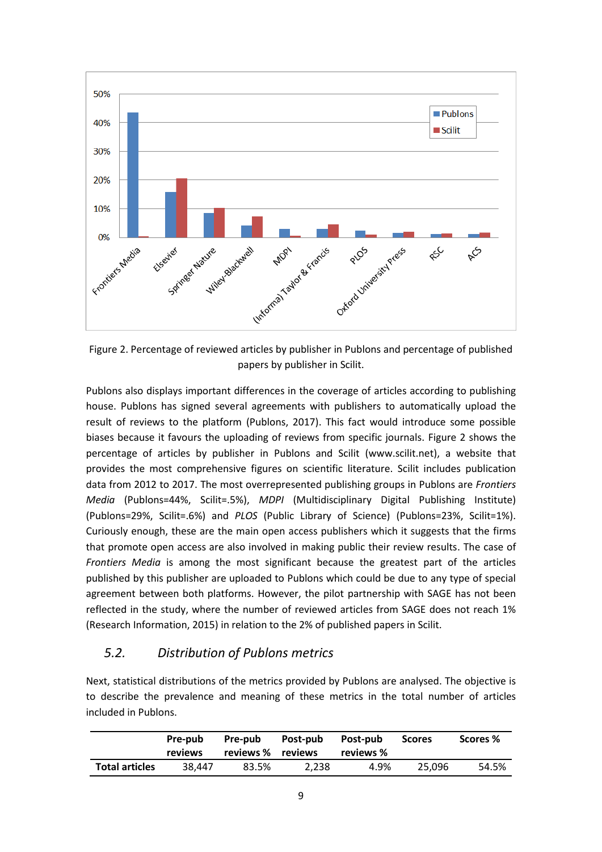

Figure 2. Percentage of reviewed articles by publisher in Publons and percentage of published papers by publisher in Scilit.

Publons also displays important differences in the coverage of articles according to publishing house. Publons has signed several agreements with publishers to automatically upload the result of reviews to the platform (Publons, 2017). This fact would introduce some possible biases because it favours the uploading of reviews from specific journals. Figure 2 shows the percentage of articles by publisher in Publons and Scilit (www.scilit.net), a website that provides the most comprehensive figures on scientific literature. Scilit includes publication data from 2012 to 2017. The most overrepresented publishing groups in Publons are *Frontiers Media* (Publons=44%, Scilit=.5%), *MDPI* (Multidisciplinary Digital Publishing Institute) (Publons=29%, Scilit=.6%) and *PLOS* (Public Library of Science) (Publons=23%, Scilit=1%). Curiously enough, these are the main open access publishers which it suggests that the firms that promote open access are also involved in making public their review results. The case of *Frontiers Media* is among the most significant because the greatest part of the articles published by this publisher are uploaded to Publons which could be due to any type of special agreement between both platforms. However, the pilot partnership with SAGE has not been reflected in the study, where the number of reviewed articles from SAGE does not reach 1% (Research Information, 2015) in relation to the 2% of published papers in Scilit.

## *5.2. Distribution of Publons metrics*

Next, statistical distributions of the metrics provided by Publons are analysed. The objective is to describe the prevalence and meaning of these metrics in the total number of articles included in Publons.

|                       | Pre-pub<br>reviews | Pre-pub<br>reviews % reviews | Post-pub | Post-pub<br>reviews % | <b>Scores</b> | Scores % |
|-----------------------|--------------------|------------------------------|----------|-----------------------|---------------|----------|
| <b>Total articles</b> | 38.447             | 83.5%                        | 2.238    | 4.9%                  | 25.096        | 54.5%    |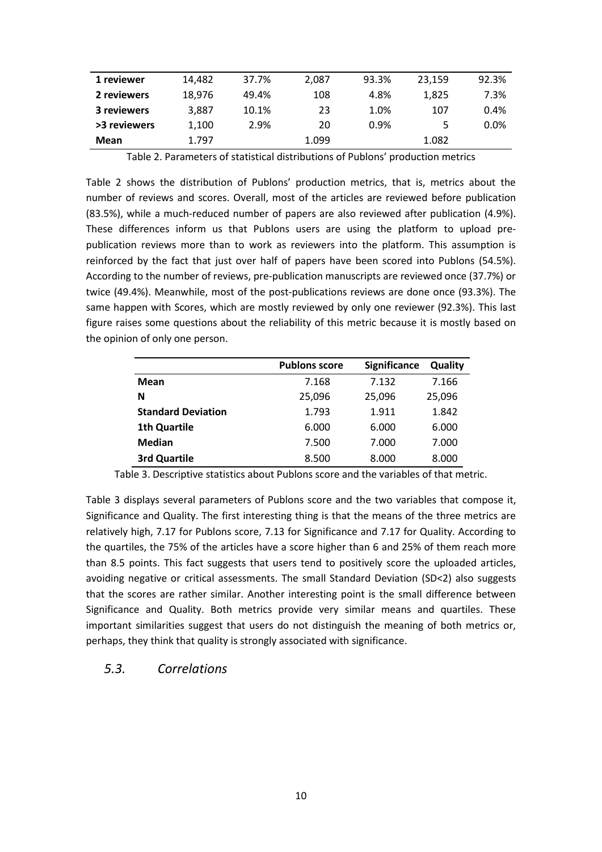| 1 reviewer   | 14.482 | 37.7% | 2,087 | 93.3% | 23.159 | 92.3%   |
|--------------|--------|-------|-------|-------|--------|---------|
| 2 reviewers  | 18.976 | 49.4% | 108   | 4.8%  | 1,825  | 7.3%    |
| 3 reviewers  | 3.887  | 10.1% | 23    | 1.0%  | 107    | 0.4%    |
| >3 reviewers | 1.100  | 2.9%  | 20    | 0.9%  | 5.     | $0.0\%$ |
| Mean         | 1.797  |       | 1.099 |       | 1.082  |         |

Table 2. Parameters of statistical distributions of Publons' production metrics

Table 2 shows the distribution of Publons' production metrics, that is, metrics about the number of reviews and scores. Overall, most of the articles are reviewed before publication (83.5%), while a much-reduced number of papers are also reviewed after publication (4.9%). These differences inform us that Publons users are using the platform to upload prepublication reviews more than to work as reviewers into the platform. This assumption is reinforced by the fact that just over half of papers have been scored into Publons (54.5%). According to the number of reviews, pre-publication manuscripts are reviewed once (37.7%) or twice (49.4%). Meanwhile, most of the post-publications reviews are done once (93.3%). The same happen with Scores, which are mostly reviewed by only one reviewer (92.3%). This last figure raises some questions about the reliability of this metric because it is mostly based on the opinion of only one person.

|                           | <b>Publons score</b> | Significance | Quality |
|---------------------------|----------------------|--------------|---------|
| Mean                      | 7.168                | 7.132        | 7.166   |
| N                         | 25,096               | 25,096       | 25,096  |
| <b>Standard Deviation</b> | 1.793                | 1.911        | 1.842   |
| <b>1th Quartile</b>       | 6.000                | 6.000        | 6.000   |
| <b>Median</b>             | 7.500                | 7.000        | 7.000   |
| <b>3rd Quartile</b>       | 8.500                | 8.000        | 8.000   |

Table 3. Descriptive statistics about Publons score and the variables of that metric.

Table 3 displays several parameters of Publons score and the two variables that compose it, Significance and Quality. The first interesting thing is that the means of the three metrics are relatively high, 7.17 for Publons score, 7.13 for Significance and 7.17 for Quality. According to the quartiles, the 75% of the articles have a score higher than 6 and 25% of them reach more than 8.5 points. This fact suggests that users tend to positively score the uploaded articles, avoiding negative or critical assessments. The small Standard Deviation (SD<2) also suggests that the scores are rather similar. Another interesting point is the small difference between Significance and Quality. Both metrics provide very similar means and quartiles. These important similarities suggest that users do not distinguish the meaning of both metrics or, perhaps, they think that quality is strongly associated with significance.

#### *5.3. Correlations*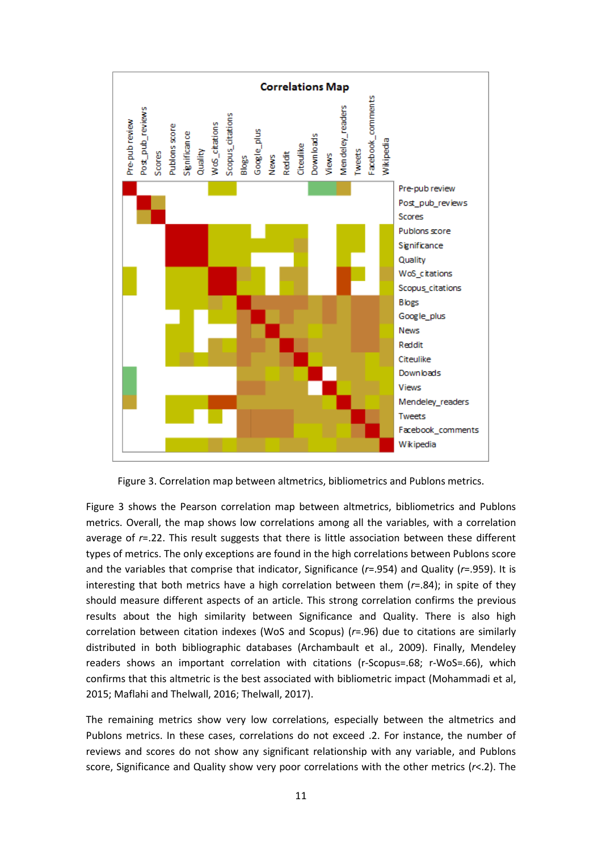

Figure 3. Correlation map between altmetrics, bibliometrics and Publons metrics.

Figure 3 shows the Pearson correlation map between altmetrics, bibliometrics and Publons metrics. Overall, the map shows low correlations among all the variables, with a correlation average of *r*=.22. This result suggests that there is little association between these different types of metrics. The only exceptions are found in the high correlations between Publons score and the variables that comprise that indicator, Significance (*r*=.954) and Quality (*r*=.959). It is interesting that both metrics have a high correlation between them (*r*=.84); in spite of they should measure different aspects of an article. This strong correlation confirms the previous results about the high similarity between Significance and Quality. There is also high correlation between citation indexes (WoS and Scopus) (*r*=.96) due to citations are similarly distributed in both bibliographic databases (Archambault et al., 2009). Finally, Mendeley readers shows an important correlation with citations (r-Scopus=.68; r-WoS=.66), which confirms that this altmetric is the best associated with bibliometric impact (Mohammadi et al, 2015; Maflahi and Thelwall, 2016; Thelwall, 2017).

The remaining metrics show very low correlations, especially between the altmetrics and Publons metrics. In these cases, correlations do not exceed .2. For instance, the number of reviews and scores do not show any significant relationship with any variable, and Publons score, Significance and Quality show very poor correlations with the other metrics (*r*<.2). The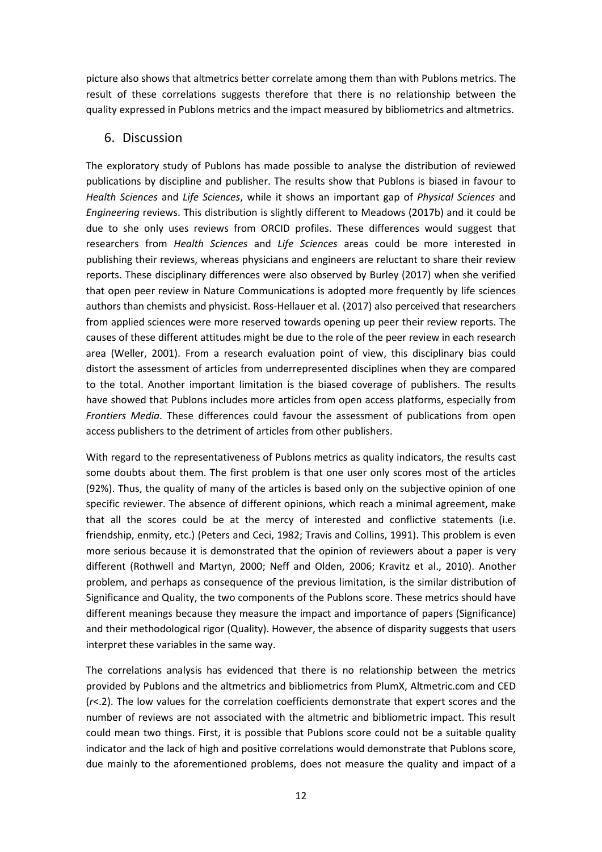picture also shows that altmetrics better correlate among them than with Publons metrics. The result of these correlations suggests therefore that there is no relationship between the quality expressed in Publons metrics and the impact measured by bibliometrics and altmetrics.

### 6. Discussion

The exploratory study of Publons has made possible to analyse the distribution of reviewed publications by discipline and publisher. The results show that Publons is biased in favour to *Health Sciences* and *Life Sciences*, while it shows an important gap of *Physical Sciences* and *Engineering* reviews. This distribution is slightly different to Meadows (2017b) and it could be due to she only uses reviews from ORCID profiles. These differences would suggest that researchers from *Health Sciences* and *Life Sciences* areas could be more interested in publishing their reviews, whereas physicians and engineers are reluctant to share their review reports. These disciplinary differences were also observed by Burley (2017) when she verified that open peer review in Nature Communications is adopted more frequently by life sciences authors than chemists and physicist. Ross-Hellauer et al. (2017) also perceived that researchers from applied sciences were more reserved towards opening up peer their review reports. The causes of these different attitudes might be due to the role of the peer review in each research area (Weller, 2001). From a research evaluation point of view, this disciplinary bias could distort the assessment of articles from underrepresented disciplines when they are compared to the total. Another important limitation is the biased coverage of publishers. The results have showed that Publons includes more articles from open access platforms, especially from *Frontiers Media*. These differences could favour the assessment of publications from open access publishers to the detriment of articles from other publishers.

With regard to the representativeness of Publons metrics as quality indicators, the results cast some doubts about them. The first problem is that one user only scores most of the articles (92%). Thus, the quality of many of the articles is based only on the subjective opinion of one specific reviewer. The absence of different opinions, which reach a minimal agreement, make that all the scores could be at the mercy of interested and conflictive statements (i.e. friendship, enmity, etc.) (Peters and Ceci, 1982; Travis and Collins, 1991). This problem is even more serious because it is demonstrated that the opinion of reviewers about a paper is very different (Rothwell and Martyn, 2000; Neff and Olden, 2006; Kravitz et al., 2010). Another problem, and perhaps as consequence of the previous limitation, is the similar distribution of Significance and Quality, the two components of the Publons score. These metrics should have different meanings because they measure the impact and importance of papers (Significance) and their methodological rigor (Quality). However, the absence of disparity suggests that users interpret these variables in the same way.

The correlations analysis has evidenced that there is no relationship between the metrics provided by Publons and the altmetrics and bibliometrics from PlumX, Altmetric.com and CED (*r*<.2). The low values for the correlation coefficients demonstrate that expert scores and the number of reviews are not associated with the altmetric and bibliometric impact. This result could mean two things. First, it is possible that Publons score could not be a suitable quality indicator and the lack of high and positive correlations would demonstrate that Publons score, due mainly to the aforementioned problems, does not measure the quality and impact of a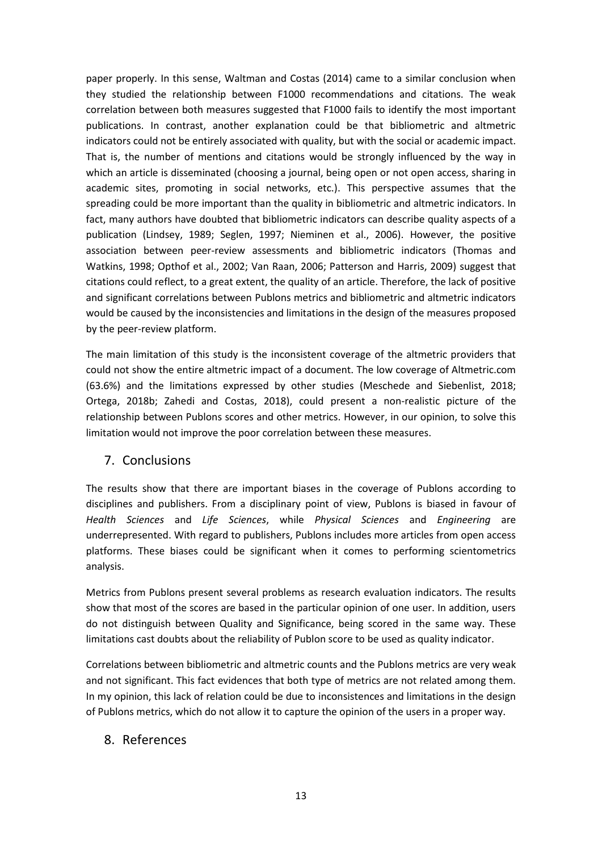paper properly. In this sense, Waltman and Costas (2014) came to a similar conclusion when they studied the relationship between F1000 recommendations and citations. The weak correlation between both measures suggested that F1000 fails to identify the most important publications. In contrast, another explanation could be that bibliometric and altmetric indicators could not be entirely associated with quality, but with the social or academic impact. That is, the number of mentions and citations would be strongly influenced by the way in which an article is disseminated (choosing a journal, being open or not open access, sharing in academic sites, promoting in social networks, etc.). This perspective assumes that the spreading could be more important than the quality in bibliometric and altmetric indicators. In fact, many authors have doubted that bibliometric indicators can describe quality aspects of a publication (Lindsey, 1989; Seglen, 1997; Nieminen et al., 2006). However, the positive association between peer-review assessments and bibliometric indicators (Thomas and Watkins, 1998; Opthof et al., 2002; Van Raan, 2006; Patterson and Harris, 2009) suggest that citations could reflect, to a great extent, the quality of an article. Therefore, the lack of positive and significant correlations between Publons metrics and bibliometric and altmetric indicators would be caused by the inconsistencies and limitations in the design of the measures proposed by the peer-review platform.

The main limitation of this study is the inconsistent coverage of the altmetric providers that could not show the entire altmetric impact of a document. The low coverage of Altmetric.com (63.6%) and the limitations expressed by other studies (Meschede and Siebenlist, 2018; Ortega, 2018b; Zahedi and Costas, 2018), could present a non-realistic picture of the relationship between Publons scores and other metrics. However, in our opinion, to solve this limitation would not improve the poor correlation between these measures.

#### 7. Conclusions

The results show that there are important biases in the coverage of Publons according to disciplines and publishers. From a disciplinary point of view, Publons is biased in favour of *Health Sciences* and *Life Sciences*, while *Physical Sciences* and *Engineering* are underrepresented. With regard to publishers, Publons includes more articles from open access platforms. These biases could be significant when it comes to performing scientometrics analysis.

Metrics from Publons present several problems as research evaluation indicators. The results show that most of the scores are based in the particular opinion of one user. In addition, users do not distinguish between Quality and Significance, being scored in the same way. These limitations cast doubts about the reliability of Publon score to be used as quality indicator.

Correlations between bibliometric and altmetric counts and the Publons metrics are very weak and not significant. This fact evidences that both type of metrics are not related among them. In my opinion, this lack of relation could be due to inconsistences and limitations in the design of Publons metrics, which do not allow it to capture the opinion of the users in a proper way.

#### 8. References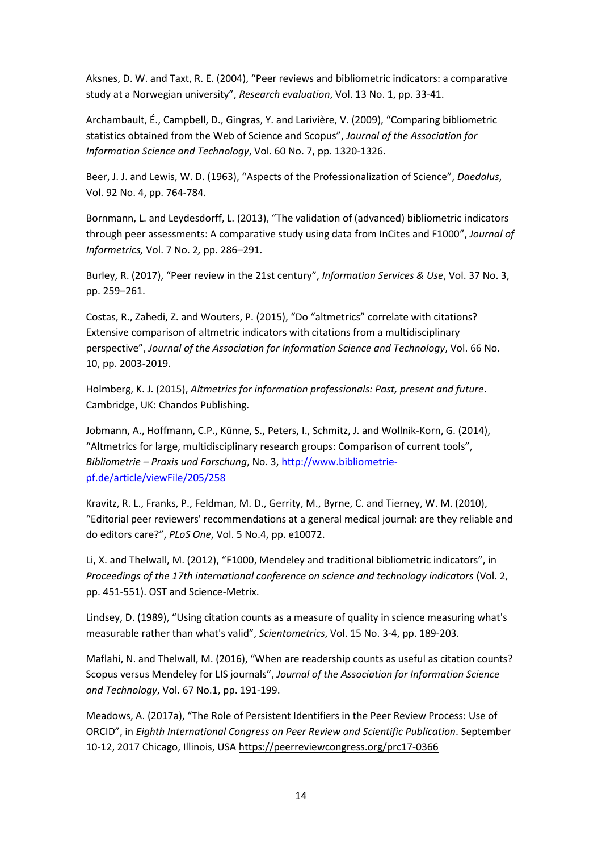Aksnes, D. W. and Taxt, R. E. (2004), "Peer reviews and bibliometric indicators: a comparative study at a Norwegian university", *Research evaluation*, Vol. 13 No. 1, pp. 33-41.

Archambault, É., Campbell, D., Gingras, Y. and Larivière, V. (2009), "Comparing bibliometric statistics obtained from the Web of Science and Scopus", *Journal of the Association for Information Science and Technology*, Vol. 60 No. 7, pp. 1320-1326.

Beer, J. J. and Lewis, W. D. (1963), "Aspects of the Professionalization of Science", *Daedalus*, Vol. 92 No. 4, pp. 764-784.

Bornmann, L. and Leydesdorff, L. (2013), "The validation of (advanced) bibliometric indicators through peer assessments: A comparative study using data from InCites and F1000", *Journal of Informetrics,* Vol. 7 No. 2*,* pp. 286*–*291*.*

Burley, R. (2017), "Peer review in the 21st century", *Information Services & Use*, Vol. 37 No. 3, pp. 259–261.

Costas, R., Zahedi, Z. and Wouters, P. (2015), "Do "altmetrics" correlate with citations? Extensive comparison of altmetric indicators with citations from a multidisciplinary perspective", *Journal of the Association for Information Science and Technology*, Vol. 66 No. 10, pp. 2003-2019.

Holmberg, K. J. (2015), *Altmetrics for information professionals: Past, present and future*. Cambridge, UK: Chandos Publishing.

Jobmann, A., Hoffmann, C.P., Künne, S., Peters, I., Schmitz, J. and Wollnik-Korn, G. (2014), "Altmetrics for large, multidisciplinary research groups: Comparison of current tools", *Bibliometrie – Praxis und Forschung*, No. 3[, http://www.bibliometrie](http://www.bibliometrie-pf.de/article/viewFile/205/258)[pf.de/article/viewFile/205/258](http://www.bibliometrie-pf.de/article/viewFile/205/258)

Kravitz, R. L., Franks, P., Feldman, M. D., Gerrity, M., Byrne, C. and Tierney, W. M. (2010), "Editorial peer reviewers' recommendations at a general medical journal: are they reliable and do editors care?", *PLoS One*, Vol. 5 No.4, pp. e10072.

Li, X. and Thelwall, M. (2012), "F1000, Mendeley and traditional bibliometric indicators", in *Proceedings of the 17th international conference on science and technology indicators* (Vol. 2, pp. 451-551). OST and Science-Metrix.

Lindsey, D. (1989), "Using citation counts as a measure of quality in science measuring what's measurable rather than what's valid", *Scientometrics*, Vol. 15 No. 3-4, pp. 189-203.

Maflahi, N. and Thelwall, M. (2016), "When are readership counts as useful as citation counts? Scopus versus Mendeley for LIS journals", *Journal of the Association for Information Science and Technology*, Vol. 67 No.1, pp. 191-199.

Meadows, A. (2017a), "The Role of Persistent Identifiers in the Peer Review Process: Use of ORCID", in *Eighth International Congress on Peer Review and Scientific Publication*. September 10-12, 2017 Chicago, Illinois, USA https://peerreviewcongress.org/prc17-0366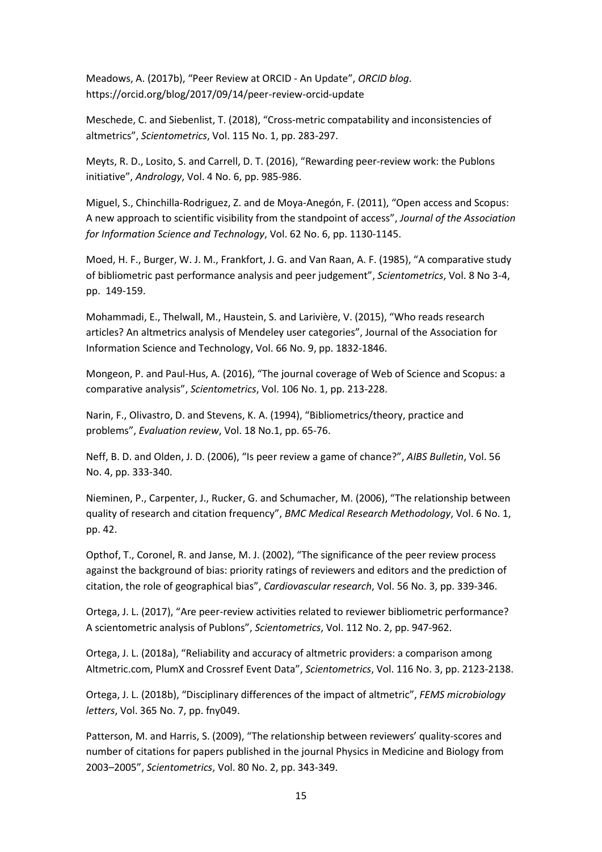Meadows, A. (2017b), "Peer Review at ORCID - An Update", *ORCID blog*. https://orcid.org/blog/2017/09/14/peer-review-orcid-update

Meschede, C. and Siebenlist, T. (2018), "Cross-metric compatability and inconsistencies of altmetrics", *Scientometrics*, Vol. 115 No. 1, pp. 283-297.

Meyts, R. D., Losito, S. and Carrell, D. T. (2016), "Rewarding peer‐review work: the Publons initiative", *Andrology*, Vol. 4 No. 6, pp. 985-986.

Miguel, S., Chinchilla‐Rodriguez, Z. and de Moya‐Anegón, F. (2011), "Open access and Scopus: A new approach to scientific visibility from the standpoint of access", *Journal of the Association for Information Science and Technology*, Vol. 62 No. 6, pp. 1130-1145.

Moed, H. F., Burger, W. J. M., Frankfort, J. G. and Van Raan, A. F. (1985), "A comparative study of bibliometric past performance analysis and peer judgement", *Scientometrics*, Vol. 8 No 3-4, pp. 149-159.

Mohammadi, E., Thelwall, M., Haustein, S. and Larivière, V. (2015), "Who reads research articles? An altmetrics analysis of Mendeley user categories", Journal of the Association for Information Science and Technology, Vol. 66 No. 9, pp. 1832-1846.

Mongeon, P. and Paul-Hus, A. (2016), "The journal coverage of Web of Science and Scopus: a comparative analysis", *Scientometrics*, Vol. 106 No. 1, pp. 213-228.

Narin, F., Olivastro, D. and Stevens, K. A. (1994), "Bibliometrics/theory, practice and problems", *Evaluation review*, Vol. 18 No.1, pp. 65-76.

Neff, B. D. and Olden, J. D. (2006), "Is peer review a game of chance?", *AIBS Bulletin*, Vol. 56 No. 4, pp. 333-340.

Nieminen, P., Carpenter, J., Rucker, G. and Schumacher, M. (2006), "The relationship between quality of research and citation frequency", *BMC Medical Research Methodology*, Vol. 6 No. 1, pp. 42.

Opthof, T., Coronel, R. and Janse, M. J. (2002), "The significance of the peer review process against the background of bias: priority ratings of reviewers and editors and the prediction of citation, the role of geographical bias", *Cardiovascular research*, Vol. 56 No. 3, pp. 339-346.

Ortega, J. L. (2017), "Are peer-review activities related to reviewer bibliometric performance? A scientometric analysis of Publons", *Scientometrics*, Vol. 112 No. 2, pp. 947-962.

Ortega, J. L. (2018a), "Reliability and accuracy of altmetric providers: a comparison among Altmetric.com, PlumX and Crossref Event Data", *Scientometrics*, Vol. 116 No. 3, pp. 2123-2138.

Ortega, J. L. (2018b), "Disciplinary differences of the impact of altmetric", *FEMS microbiology letters*, Vol. 365 No. 7, pp. fny049.

Patterson, M. and Harris, S. (2009), "The relationship between reviewers' quality-scores and number of citations for papers published in the journal Physics in Medicine and Biology from 2003–2005", *Scientometrics*, Vol. 80 No. 2, pp. 343-349.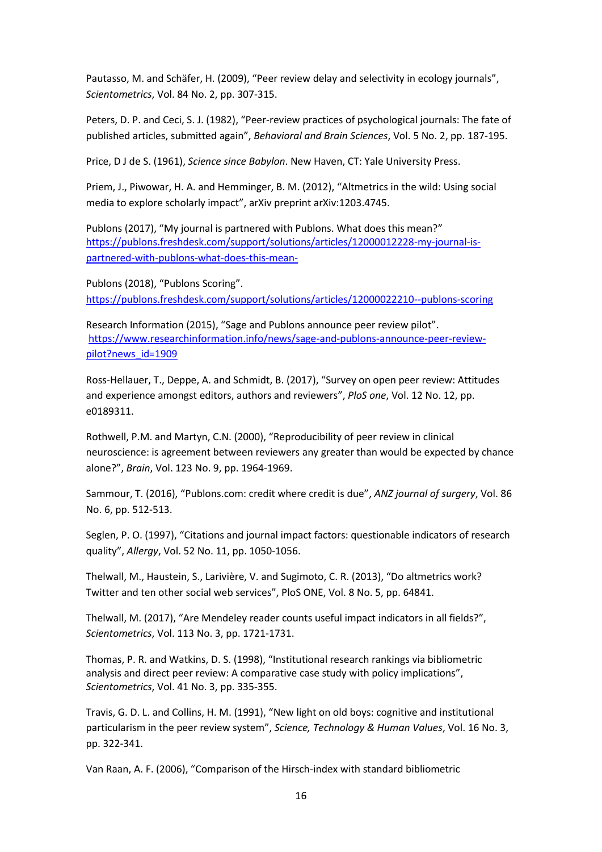Pautasso, M. and Schäfer, H. (2009), "Peer review delay and selectivity in ecology journals", *Scientometrics*, Vol. 84 No. 2, pp. 307-315.

Peters, D. P. and Ceci, S. J. (1982), "Peer-review practices of psychological journals: The fate of published articles, submitted again", *Behavioral and Brain Sciences*, Vol. 5 No. 2, pp. 187-195.

Price, D J de S. (1961), *Science since Babylon*. New Haven, CT: Yale University Press.

Priem, J., Piwowar, H. A. and Hemminger, B. M. (2012), "Altmetrics in the wild: Using social media to explore scholarly impact", arXiv preprint arXiv:1203.4745.

Publons (2017), "My journal is partnered with Publons. What does this mean?" [https://publons.freshdesk.com/support/solutions/articles/12000012228-my-journal-is](https://publons.freshdesk.com/support/solutions/articles/12000012228-my-journal-is-partnered-with-publons-what-does-this-mean-)[partnered-with-publons-what-does-this-mean-](https://publons.freshdesk.com/support/solutions/articles/12000012228-my-journal-is-partnered-with-publons-what-does-this-mean-)

Publons (2018), "Publons Scoring". <https://publons.freshdesk.com/support/solutions/articles/12000022210--publons-scoring>

Research Information (2015), "Sage and Publons announce peer review pilot". [https://www.researchinformation.info/news/sage-and-publons-announce-peer-review](https://www.researchinformation.info/news/sage-and-publons-announce-peer-review-pilot?news_id=1909)[pilot?news\\_id=1909](https://www.researchinformation.info/news/sage-and-publons-announce-peer-review-pilot?news_id=1909)

Ross-Hellauer, T., Deppe, A. and Schmidt, B. (2017), "Survey on open peer review: Attitudes and experience amongst editors, authors and reviewers", *PloS one*, Vol. 12 No. 12, pp. e0189311.

Rothwell, P.M. and Martyn, C.N. (2000), "Reproducibility of peer review in clinical neuroscience: is agreement between reviewers any greater than would be expected by chance alone?", *Brain*, Vol. 123 No. 9, pp. 1964-1969.

Sammour, T. (2016), "Publons.com: credit where credit is due", *ANZ journal of surgery*, Vol. 86 No. 6, pp. 512-513.

Seglen, P. O. (1997), "Citations and journal impact factors: questionable indicators of research quality", *Allergy*, Vol. 52 No. 11, pp. 1050-1056.

Thelwall, M., Haustein, S., Larivière, V. and Sugimoto, C. R. (2013), "Do altmetrics work? Twitter and ten other social web services", PloS ONE, Vol. 8 No. 5, pp. 64841.

Thelwall, M. (2017), "Are Mendeley reader counts useful impact indicators in all fields?", *Scientometrics*, Vol. 113 No. 3, pp. 1721-1731.

Thomas, P. R. and Watkins, D. S. (1998), "Institutional research rankings via bibliometric analysis and direct peer review: A comparative case study with policy implications", *Scientometrics*, Vol. 41 No. 3, pp. 335-355.

Travis, G. D. L. and Collins, H. M. (1991), "New light on old boys: cognitive and institutional particularism in the peer review system", *Science, Technology & Human Values*, Vol. 16 No. 3, pp. 322-341.

Van Raan, A. F. (2006), "Comparison of the Hirsch-index with standard bibliometric